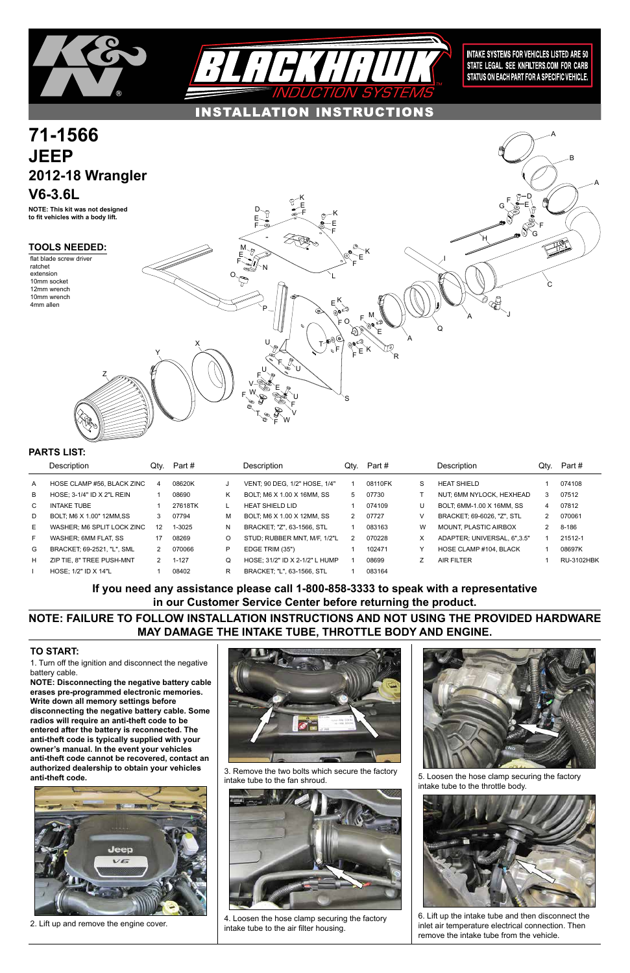1. Turn off the ignition and disconnect the negative battery cable.

**NOTE: Disconnecting the negative battery cable erases pre-programmed electronic memories. Write down all memory settings before disconnecting the negative battery cable. Some radios will require an anti-theft code to be entered after the battery is reconnected. The anti-theft code is typically supplied with your owner's manual. In the event your vehicles anti-theft code cannot be recovered, contact an authorized dealership to obtain your vehicles anti-theft code.**





### **TO START:**





|              | Description                | Qtv. | Part #    |    | Description                       | Qtv. | Part#   |   | Description                       | Qty. | Part #            |
|--------------|----------------------------|------|-----------|----|-----------------------------------|------|---------|---|-----------------------------------|------|-------------------|
| $\mathsf{A}$ | HOSE CLAMP #56, BLACK ZINC | 4    | 08620K    |    | VENT: 90 DEG, 1/2" HOSE, 1/4"     |      | 08110FK | S | <b>HEAT SHIELD</b>                |      | 074108            |
| B            | HOSE; 3-1/4" ID X 2"L REIN |      | 08690     | Κ  | BOLT, M6 X 1.00 X 16MM, SS        | 5    | 07730   |   | NUT; 6MM NYLOCK, HEXHEAD          | 3    | 07512             |
| C            | <b>INTAKE TUBE</b>         |      | 27618TK   |    | <b>HEAT SHIELD LID</b>            |      | 074109  | U | BOLT, 6MM-1.00 X 16MM, SS         | 4    | 07812             |
| D            | BOLT: M6 X 1.00" 12MM.SS   | 3    | 07794     | м  | BOLT, M6 X 1.00 X 12MM, SS        | 2    | 07727   | V | <b>BRACKET: 69-6026. "Z". STL</b> | 2    | 070061            |
| E            | WASHER: M6 SPLIT LOCK ZINC | 12   | 1-3025    | N. | BRACKET: "Z", 63-1566, STL        |      | 083163  | W | <b>MOUNT, PLASTIC AIRBOX</b>      |      | 8-186             |
| F            | WASHER: 6MM FLAT. SS       | 17   | 08269     | O  | STUD; RUBBER MNT, M/F, 1/2"L      | 2    | 070228  | X | ADAPTER: UNIVERSAL, 6".3.5"       |      | 21512-1           |
| G            | BRACKET, 69-2521, "L", SML | 2    | 070066    | P  | EDGE TRIM (35")                   |      | 102471  |   | HOSE CLAMP #104. BLACK            |      | 08697K            |
| H            | ZIP TIE. 8" TREE PUSH-MNT  | 2    | $1 - 127$ | Q  | HOSE: 31/2" ID X 2-1/2" L HUMP    |      | 08699   |   | <b>AIR FILTER</b>                 |      | <b>RU-3102HBK</b> |
|              | HOSE: $1/2$ " ID X $14$ "L |      | 08402     | R  | <b>BRACKET: "L", 63-1566, STL</b> |      | 083164  |   |                                   |      |                   |

### **PARTS LIST:**



2. Lift up and remove the engine cover.

3. Remove the two bolts which secure the factory intake tube to the fan shroud.



4. Loosen the hose clamp securing the factory intake tube to the air filter housing.

5. Loosen the hose clamp securing the factory intake tube to the throttle body.



6. Lift up the intake tube and then disconnect the inlet air temperature electrical connection. Then remove the intake tube from the vehicle.

## **NOTE: FAILURE TO FOLLOW INSTALLATION INSTRUCTIONS AND NOT USING THE PROVIDED HARDWARE MAY DAMAGE THE INTAKE TUBE, THROTTLE BODY AND ENGINE.**

**If you need any assistance please call 1-800-858-3333 to speak with a representative in our Customer Service Center before returning the product.**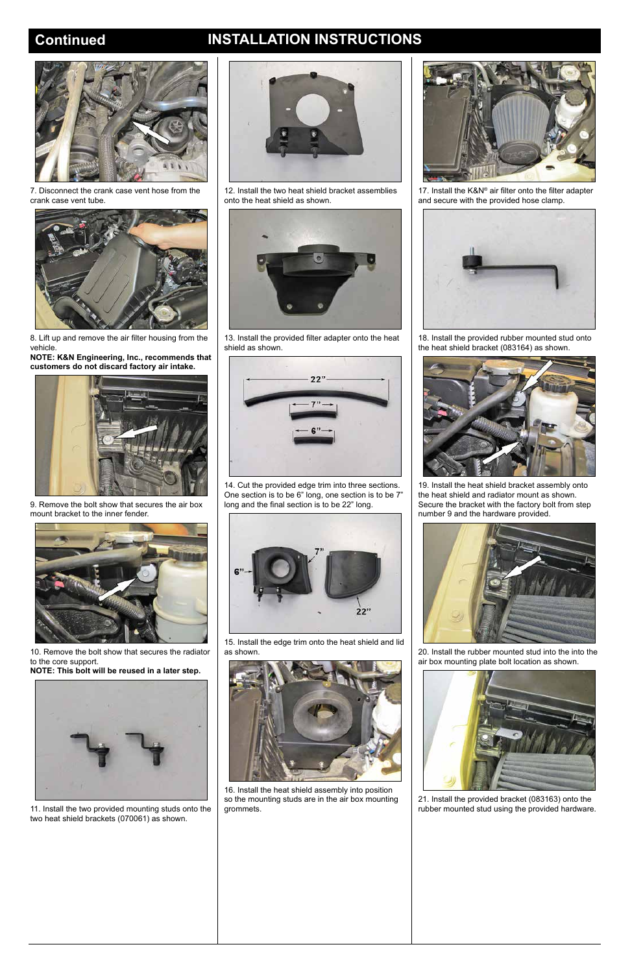# **Continued INSTALLATION INSTRUCTIONS**



7. Disconnect the crank case vent hose from the crank case vent tube.



8. Lift up and remove the air filter housing from the vehicle.

**NOTE: K&N Engineering, Inc., recommends that customers do not discard factory air intake.**



9. Remove the bolt show that secures the air box mount bracket to the inner fender.



10. Remove the bolt show that secures the radiator to the core support.

**NOTE: This bolt will be reused in a later step.**

11. Install the two provided mounting studs onto the two heat shield brackets (070061) as shown.



17. Install the K&N® air filter onto the filter adapter and secure with the provided hose clamp.



12. Install the two heat shield bracket assemblies onto the heat shield as shown.



13. Install the provided filter adapter onto the heat shield as shown.



14. Cut the provided edge trim into three sections. One section is to be 6" long, one section is to be 7" long and the final section is to be 22" long.



15. Install the edge trim onto the heat shield and lid as shown.



16. Install the heat shield assembly into position so the mounting studs are in the air box mounting grommets.



18. Install the provided rubber mounted stud onto the heat shield bracket (083164) as shown.



19. Install the heat shield bracket assembly onto the heat shield and radiator mount as shown. Secure the bracket with the factory bolt from step number 9 and the hardware provided.



20. Install the rubber mounted stud into the into the air box mounting plate bolt location as shown.





21. Install the provided bracket (083163) onto the rubber mounted stud using the provided hardware.